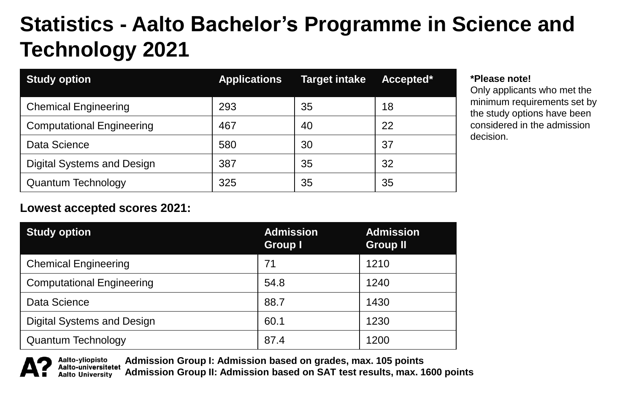# **Statistics - Aalto Bachelor's Programme in Science and Technology 2021**

| <b>Study option</b>              | <b>Applications</b> | <b>Target intake</b> | Accepted* |
|----------------------------------|---------------------|----------------------|-----------|
| <b>Chemical Engineering</b>      | 293                 | 35                   | 18        |
| <b>Computational Engineering</b> | 467                 | 40                   | 22        |
| Data Science                     | 580                 | 30                   | 37        |
| Digital Systems and Design       | 387                 | 35                   | 32        |
| Quantum Technology               | 325                 | 35                   | 35        |

#### **\*Please note!**

Only applicants who met the minimum requirements set by the study options have been considered in the admission decision.

### **Lowest accepted scores 2021:**

| <b>Study option</b>              | <b>Admission</b><br><b>Group I</b> | <b>Admission</b><br><b>Group II</b> |
|----------------------------------|------------------------------------|-------------------------------------|
| <b>Chemical Engineering</b>      | 71                                 | 1210                                |
| <b>Computational Engineering</b> | 54.8                               | 1240                                |
| Data Science                     | 88.7                               | 1430                                |
| Digital Systems and Design       | 60.1                               | 1230                                |
| Quantum Technology               | 87.4                               | 1200                                |

**Admission Group I: Admission based on grades, max. 105 points** Aalto-yliopisto Aalto-universitetet **Admission Group II: Admission based on SAT test results, max. 1600 points** Aalto University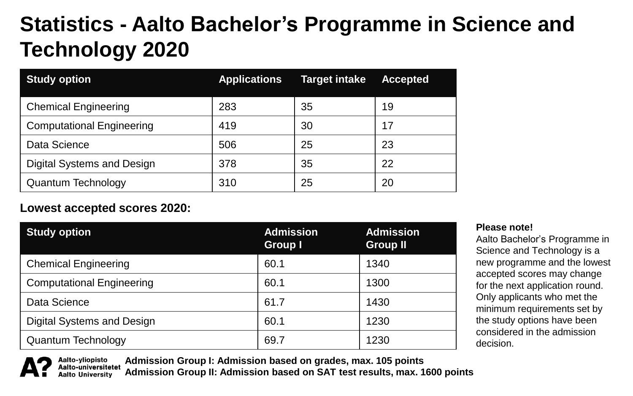## **Statistics - Aalto Bachelor's Programme in Science and Technology 2020**

| <b>Study option</b>              | <b>Applications</b> | <b>Target intake</b> | <b>Accepted</b> |
|----------------------------------|---------------------|----------------------|-----------------|
| <b>Chemical Engineering</b>      | 283                 | 35                   | 19              |
| <b>Computational Engineering</b> | 419                 | 30                   | 17              |
| Data Science                     | 506                 | 25                   | 23              |
| Digital Systems and Design       | 378                 | 35                   | 22              |
| Quantum Technology               | 310                 | 25                   | 20              |

### **Lowest accepted scores 2020:**

| <b>Study option</b>              | <b>Admission</b><br>Group I | <b>Admission</b><br><b>Group II</b> |
|----------------------------------|-----------------------------|-------------------------------------|
| <b>Chemical Engineering</b>      | 60.1                        | 1340                                |
| <b>Computational Engineering</b> | 60.1                        | 1300                                |
| Data Science                     | 61.7                        | 1430                                |
| Digital Systems and Design       | 60.1                        | 1230                                |
| <b>Quantum Technology</b>        | 69.7                        | 1230                                |

**Please note!**

Aalto Bachelor's Programme in Science and Technology is a new programme and the lowest accepted scores may change for the next application round. Only applicants who met the minimum requirements set by the study options have been considered in the admission decision.

Aalto-yliopisto **Admission Group I: Admission based on grades, max. 105 points** Aalto-universitetet Aalto Universitv

**Admission Group II: Admission based on SAT test results, max. 1600 points**